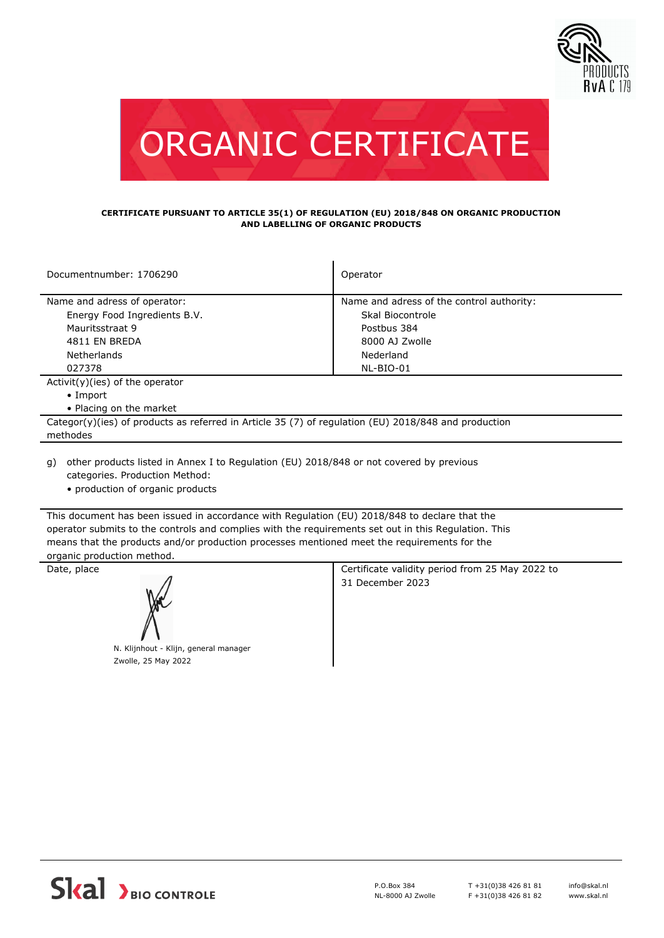



## **CERTIFICATE PURSUANT TO ARTICLE 35(1) OF REGULATION (EU) 2018/848 ON ORGANIC PRODUCTION AND LABELLING OF ORGANIC PRODUCTS**

| Documentnumber: 1706290                                                                              | Operator                                  |  |
|------------------------------------------------------------------------------------------------------|-------------------------------------------|--|
| Name and adress of operator:                                                                         | Name and adress of the control authority: |  |
| Energy Food Ingredients B.V.                                                                         | Skal Biocontrole                          |  |
| Mauritsstraat 9                                                                                      | Postbus 384                               |  |
| 4811 EN BREDA                                                                                        | 8000 AJ Zwolle                            |  |
| <b>Netherlands</b>                                                                                   | Nederland                                 |  |
| 027378                                                                                               | NL-BIO-01                                 |  |
| $Activity)(ies)$ of the operator                                                                     |                                           |  |
| $\bullet$ Import                                                                                     |                                           |  |
| • Placing on the market                                                                              |                                           |  |
| Categor(y)(ies) of products as referred in Article 35 (7) of regulation (EU) 2018/848 and production |                                           |  |
| methodes                                                                                             |                                           |  |
|                                                                                                      |                                           |  |

other products listed in Annex I to Regulation (EU) 2018/848 or not covered by previous g) categories. Production Method:

• production of organic products

This document has been issued in accordance with Regulation (EU) 2018/848 to declare that the operator submits to the controls and complies with the requirements set out in this Regulation. This means that the products and/or production processes mentioned meet the requirements for the organic production method.



Zwolle, 25 May 2022

Date, place **Certificate validity period from 25 May 2022 to** 31 December 2023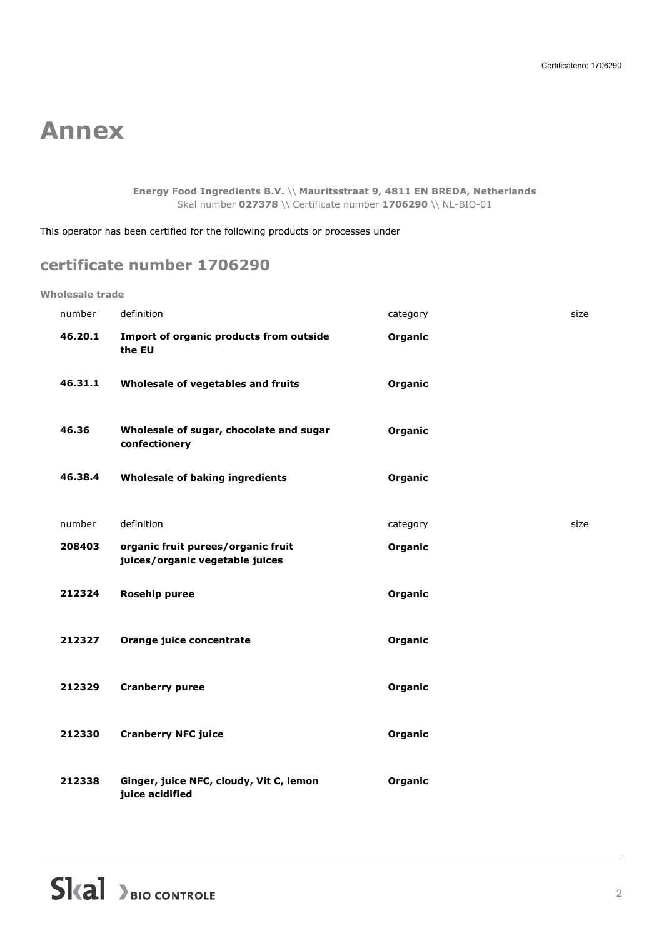## **Annex**

**Energy Food Ingredients B.V.** \\ **Mauritsstraat 9, 4811 EN BREDA, Netherlands** Skal number **027378** \\ Certificate number **1706290** \\ NL-BIO-01

This operator has been certified for the following products or processes under

## **certificate number 1706290**

**Wholesale trade**

| number  | definition                                                            | category | size |
|---------|-----------------------------------------------------------------------|----------|------|
| 46.20.1 | Import of organic products from outside<br>the EU                     | Organic  |      |
| 46.31.1 | Wholesale of vegetables and fruits                                    | Organic  |      |
| 46.36   | Wholesale of sugar, chocolate and sugar<br>confectionery              | Organic  |      |
| 46.38.4 | Wholesale of baking ingredients                                       | Organic  |      |
| number  | definition                                                            | category | size |
| 208403  | organic fruit purees/organic fruit<br>juices/organic vegetable juices | Organic  |      |
| 212324  | <b>Rosehip puree</b>                                                  | Organic  |      |
| 212327  | Orange juice concentrate                                              | Organic  |      |
| 212329  | <b>Cranberry puree</b>                                                | Organic  |      |
| 212330  | <b>Cranberry NFC juice</b>                                            | Organic  |      |
| 212338  | Ginger, juice NFC, cloudy, Vit C, lemon<br>juice acidified            | Organic  |      |